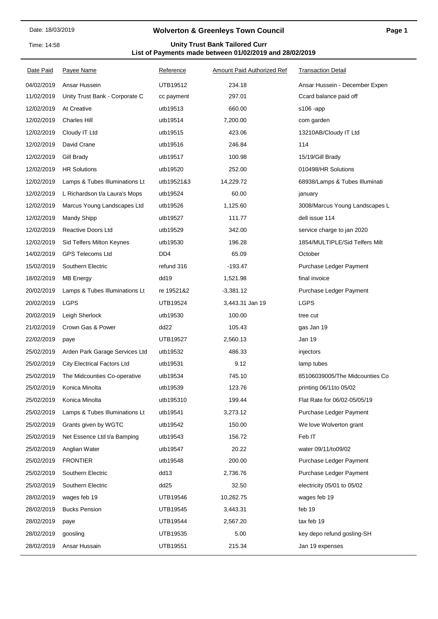Time: 14:58

## **Wolverton & Greenleys Town Council**

## **List of Payments made between 01/02/2019 and 28/02/2019 Unity Trust Bank Tailored Curr**

| Date Paid  | <b>Payee Name</b>                  | Reference        | Amount Paid Authorized Ref | <b>Transaction Detail</b>      |
|------------|------------------------------------|------------------|----------------------------|--------------------------------|
| 04/02/2019 | Ansar Hussein                      | UTB19512         | 234.18                     | Ansar Hussein - December Expen |
| 11/02/2019 | Unity Trust Bank - Corporate C     | cc payment       | 297.01                     | Ccard balance paid off         |
| 12/02/2019 | At Creative                        | utb19513         | 660.00                     | $$106$ -app                    |
| 12/02/2019 | <b>Charles Hill</b>                | utb19514         | 7,200.00                   | com garden                     |
| 12/02/2019 | Cloudy IT Ltd                      | utb19515         | 423.06                     | 13210AB/Cloudy IT Ltd          |
| 12/02/2019 | David Crane                        | utb19516         | 246.84                     | 114                            |
| 12/02/2019 | Gill Brady                         | utb19517         | 100.98                     | 15/19/Gill Brady               |
| 12/02/2019 | <b>HR Solutions</b>                | utb19520         | 252.00                     | 010498/HR Solutions            |
| 12/02/2019 | Lamps & Tubes Illuminations Lt     | utb19521&3       | 14,229.72                  | 68938/Lamps & Tubes Illuminati |
| 12/02/2019 | L Richardson t/a Laura's Mops      | utb19524         | 60.00                      | january                        |
| 12/02/2019 | Marcus Young Landscapes Ltd        | utb19526         | 1,125.60                   | 3008/Marcus Young Landscapes L |
| 12/02/2019 | <b>Mandy Shipp</b>                 | utb19527         | 111.77                     | dell issue 114                 |
| 12/02/2019 | <b>Reactive Doors Ltd</b>          | utb19529         | 342.00                     | service charge to jan 2020     |
| 12/02/2019 | Sid Telfers Milton Keynes          | utb19530         | 196.28                     | 1854/MULTIPLE/Sid Telfers Milt |
| 14/02/2019 | <b>GPS Telecoms Ltd</b>            | DD <sub>4</sub>  | 65.09                      | October                        |
| 15/02/2019 | Southern Electric                  | refund 316       | -193.47                    | Purchase Ledger Payment        |
| 18/02/2019 | <b>MB Energy</b>                   | dd19             | 1,521.98                   | final invoice                  |
| 20/02/2019 | Lamps & Tubes Illuminations Lt     | re 19521&2       | $-3,381.12$                | Purchase Ledger Payment        |
| 20/02/2019 | <b>LGPS</b>                        | UTB19524         | 3,443.31 Jan 19            | <b>LGPS</b>                    |
| 20/02/2019 | Leigh Sherlock                     | utb19530         | 100.00                     | tree cut                       |
| 21/02/2019 | Crown Gas & Power                  | dd22             | 105.43                     | gas Jan 19                     |
| 22/02/2019 | paye                               | <b>UTB19527</b>  | 2,560.13                   | Jan 19                         |
| 25/02/2019 | Arden Park Garage Services Ltd     | utb19532         | 486.33                     | injectors                      |
| 25/02/2019 | <b>City Electrical Factors Ltd</b> | utb19531         | 9.12                       | lamp tubes                     |
| 25/02/2019 | The Midcounties Co-operative       | utb19534         | 745.10                     | 85106039005/The Midcounties Co |
| 25/02/2019 | Konica Minolta                     | utb19539         | 123.76                     | printing 06/11 to 05/02        |
| 25/02/2019 | Konica Minolta                     | utb195310        | 199.44                     | Flat Rate for 06/02-05/05/19   |
| 25/02/2019 | Lamps & Tubes Illuminations Lt     | utb19541         | 3,273.12                   | Purchase Ledger Payment        |
| 25/02/2019 | Grants given by WGTC               | utb19542         | 150.00                     | We love Wolverton grant        |
| 25/02/2019 | Net Essence Ltd t/a Bamping        | utb19543         | 156.72                     | Feb IT                         |
| 25/02/2019 | Anglian Water                      | utb19547         | 20.22                      | water 09/11/to09/02            |
| 25/02/2019 | <b>FRONTIER</b>                    | utb19548         | 200.00                     | Purchase Ledger Payment        |
| 25/02/2019 | Southern Electric                  | dd13             | 2,736.76                   | Purchase Ledger Payment        |
| 25/02/2019 | Southern Electric                  | dd <sub>25</sub> | 32.50                      | electricity 05/01 to 05/02     |
| 28/02/2019 | wages feb 19                       | UTB19546         | 10,262.75                  | wages feb 19                   |
| 28/02/2019 | <b>Bucks Pension</b>               | UTB19545         | 3,443.31                   | feb 19                         |
| 28/02/2019 | paye                               | UTB19544         | 2,567.20                   | tax feb 19                     |
| 28/02/2019 | goosling                           | UTB19535         | 5.00                       | key depo refund gosling-SH     |
| 28/02/2019 | Ansar Hussain                      | UTB19551         | 215.34                     | Jan 19 expenses                |
|            |                                    |                  |                            |                                |